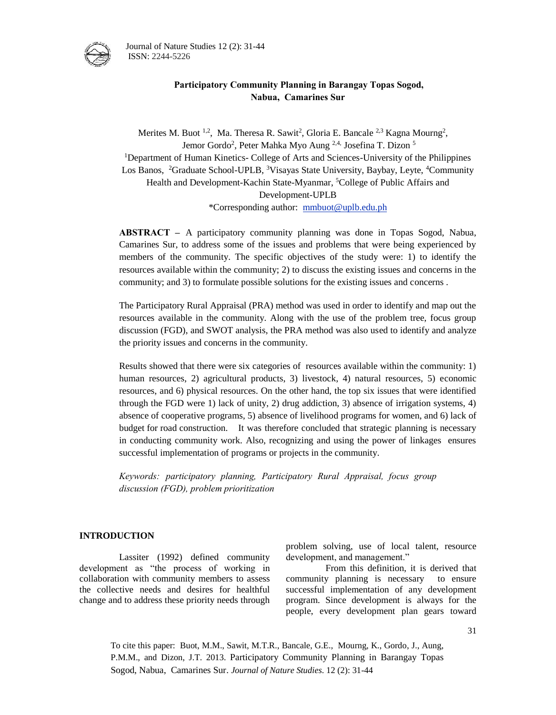

Journal of Nature Studies 12 (2): 31-44 ISSN: 2244-5226

## **Participatory Community Planning in Barangay Topas Sogod, Nabua, Camarines Sur**

Merites M. Buot <sup>1,2</sup>, Ma. Theresa R. Sawit<sup>2</sup>, Gloria E. Bancale <sup>2,3</sup> Kagna Mourng<sup>2</sup>, Jemor Gordo<sup>2</sup>, Peter Mahka Myo Aung <sup>2,4,</sup> Josefina T. Dizon <sup>5</sup> <sup>1</sup>Department of Human Kinetics- College of Arts and Sciences-University of the Philippines Los Banos, <sup>2</sup>Graduate School-UPLB, <sup>3</sup>Visayas State University, Baybay, Leyte, <sup>4</sup>Community Health and Development-Kachin State-Myanmar, <sup>5</sup>College of Public Affairs and Development-UPLB \*Corresponding author: [mmbuot@uplb.edu.ph](mailto:mmbuot@uplb.edu.ph)

**ABSTRACT –** A participatory community planning was done in Topas Sogod, Nabua, Camarines Sur, to address some of the issues and problems that were being experienced by members of the community. The specific objectives of the study were: 1) to identify the resources available within the community; 2) to discuss the existing issues and concerns in the community; and 3) to formulate possible solutions for the existing issues and concerns .

The Participatory Rural Appraisal (PRA) method was used in order to identify and map out the resources available in the community. Along with the use of the problem tree, focus group discussion (FGD), and SWOT analysis, the PRA method was also used to identify and analyze the priority issues and concerns in the community.

Results showed that there were six categories of resources available within the community: 1) human resources, 2) agricultural products, 3) livestock, 4) natural resources, 5) economic resources, and 6) physical resources. On the other hand, the top six issues that were identified through the FGD were 1) lack of unity, 2) drug addiction, 3) absence of irrigation systems, 4) absence of cooperative programs, 5) absence of livelihood programs for women, and 6) lack of budget for road construction. It was therefore concluded that strategic planning is necessary in conducting community work. Also, recognizing and using the power of linkages ensures successful implementation of programs or projects in the community.

*Keywords: participatory planning, Participatory Rural Appraisal, focus group discussion (FGD), problem prioritization* 

#### **INTRODUCTION**

Lassiter (1992) defined community development as "the process of working in collaboration with community members to assess the collective needs and desires for healthful change and to address these priority needs through problem solving, use of local talent, resource development, and management."

From this definition, it is derived that community planning is necessary to ensure successful implementation of any development program. Since development is always for the people, every development plan gears toward

To cite this paper: Buot, M.M., Sawit, M.T.R., Bancale, G.E., Mourng, K., Gordo, J., Aung, P.M.M., and Dizon, J.T. 2013. Participatory Community Planning in Barangay Topas Sogod, Nabua, Camarines Sur. *Journal of Nature Studies*. 12 (2): 31-44

31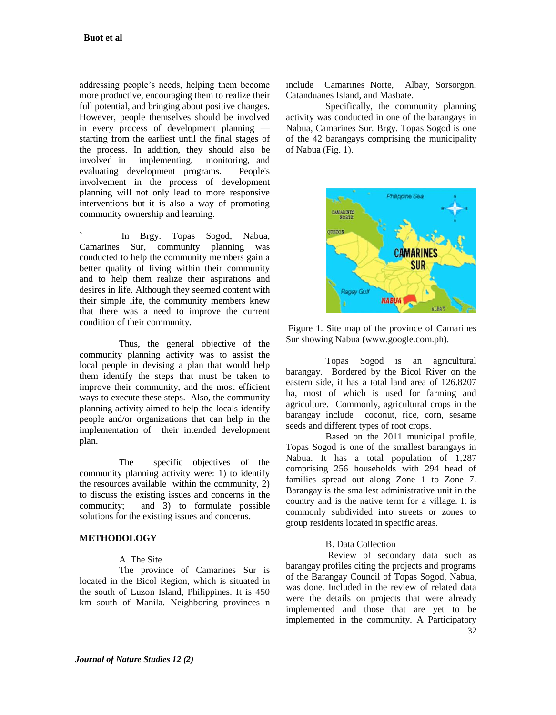addressing people's needs, helping them become more productive, encouraging them to realize their full potential, and bringing about positive changes. However, people themselves should be involved in every process of development planning starting from the earliest until the final stages of the process. In addition, they should also be involved in implementing, monitoring, and evaluating development programs. People's involvement in the process of development planning will not only lead to more responsive interventions but it is also a way of promoting community ownership and learning.

` In Brgy. Topas Sogod, Nabua, Camarines Sur, community planning was conducted to help the community members gain a better quality of living within their community and to help them realize their aspirations and desires in life. Although they seemed content with their simple life, the community members knew that there was a need to improve the current condition of their community.

Thus, the general objective of the community planning activity was to assist the local people in devising a plan that would help them identify the steps that must be taken to improve their community, and the most efficient ways to execute these steps. Also, the community planning activity aimed to help the locals identify people and/or organizations that can help in the implementation of their intended development plan.

The specific objectives of the community planning activity were: 1) to identify the resources available within the community, 2) to discuss the existing issues and concerns in the community; and 3) to formulate possible solutions for the existing issues and concerns.

## **METHODOLOGY**

#### A. The Site

The province of Camarines Sur is located in the Bicol Region, which is situated in the south of Luzon Island, Philippines. It is 450 km south of Manila. Neighboring provinces n include Camarines Norte, Albay, Sorsorgon, Catanduanes Island, and Masbate.

Specifically, the community planning activity was conducted in one of the barangays in Nabua, Camarines Sur. Brgy. Topas Sogod is one of the 42 barangays comprising the municipality of Nabua (Fig. 1).



Figure 1. Site map of the province of Camarines Sur showing Nabua (www.google.com.ph).

Topas Sogod is an agricultural barangay. Bordered by the Bicol River on the eastern side, it has a total land area of 126.8207 ha, most of which is used for farming and agriculture. Commonly, agricultural crops in the barangay include coconut, rice, corn, sesame seeds and different types of root crops.

Based on the 2011 municipal profile, Topas Sogod is one of the smallest barangays in Nabua. It has a total population of 1,287 comprising 256 households with 294 head of families spread out along Zone 1 to Zone 7. Barangay is the smallest administrative unit in the country and is the native term for a village. It is commonly subdivided into streets or zones to group residents located in specific areas.

### B. Data Collection

32 Review of secondary data such as barangay profiles citing the projects and programs of the Barangay Council of Topas Sogod, Nabua, was done. Included in the review of related data were the details on projects that were already implemented and those that are yet to be implemented in the community. A Participatory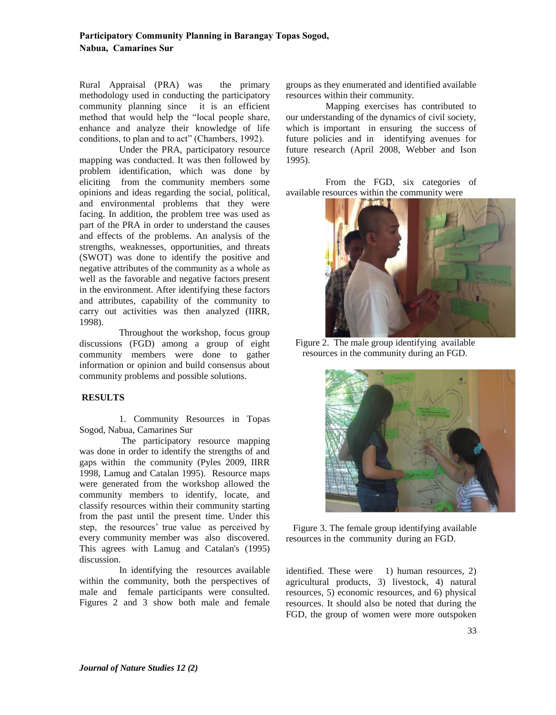Rural Appraisal (PRA) was the primary methodology used in conducting the participatory community planning since it is an efficient method that would help the "local people share, enhance and analyze their knowledge of life conditions, to plan and to act" (Chambers, 1992).

Under the PRA, participatory resource mapping was conducted. It was then followed by problem identification, which was done by eliciting from the community members some opinions and ideas regarding the social, political, and environmental problems that they were facing. In addition, the problem tree was used as part of the PRA in order to understand the causes and effects of the problems. An analysis of the strengths, weaknesses, opportunities, and threats (SWOT) was done to identify the positive and negative attributes of the community as a whole as well as the favorable and negative factors present in the environment. After identifying these factors and attributes, capability of the community to carry out activities was then analyzed (IIRR, 1998).

Throughout the workshop, focus group discussions (FGD) among a group of eight community members were done to gather information or opinion and build consensus about community problems and possible solutions.

### **RESULTS**

1. Community Resources in Topas Sogod, Nabua, Camarines Sur

The participatory resource mapping was done in order to identify the strengths of and gaps within the community (Pyles 2009, IIRR 1998, Lamug and Catalan 1995). Resource maps were generated from the workshop allowed the community members to identify, locate, and classify resources within their community starting from the past until the present time. Under this step, the resources' true value as perceived by every community member was also discovered. This agrees with Lamug and Catalan's (1995) discussion.

In identifying the resources available within the community, both the perspectives of male and female participants were consulted. Figures 2 and 3 show both male and female groups as they enumerated and identified available resources within their community.

Mapping exercises has contributed to our understanding of the dynamics of civil society, which is important in ensuring the success of future policies and in identifying avenues for future research (April 2008, Webber and Ison 1995).

From the FGD, six categories of available resources within the community were



 Figure 2. The male group identifying available resources in the community during an FGD.



 Figure 3. The female group identifying available resources in the community during an FGD.

identified. These were 1) human resources, 2) agricultural products, 3) livestock, 4) natural resources, 5) economic resources, and 6) physical resources. It should also be noted that during the FGD, the group of women were more outspoken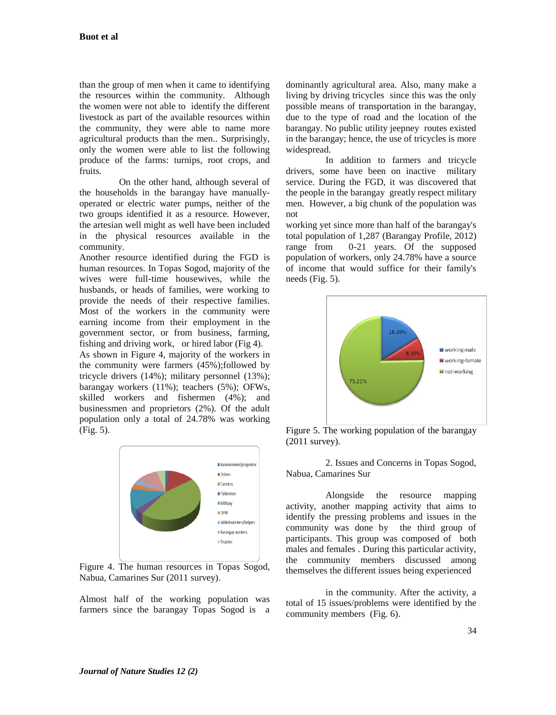than the group of men when it came to identifying the resources within the community. Although the women were not able to identify the different livestock as part of the available resources within the community, they were able to name more agricultural products than the men.. Surprisingly, only the women were able to list the following produce of the farms: turnips, root crops, and fruits.

On the other hand, although several of the households in the barangay have manuallyoperated or electric water pumps, neither of the two groups identified it as a resource. However, the artesian well might as well have been included in the physical resources available in the community.

Another resource identified during the FGD is human resources. In Topas Sogod, majority of the wives were full-time housewives, while the husbands, or heads of families, were working to provide the needs of their respective families. Most of the workers in the community were earning income from their employment in the government sector, or from business, farming, fishing and driving work, or hired labor (Fig 4).

As shown in Figure 4, majority of the workers in the community were farmers (45%);followed by tricycle drivers (14%); military personnel (13%); barangay workers (11%); teachers (5%); OFWs, skilled workers and fishermen (4%); and businessmen and proprietors (2%). Of the adult population only a total of 24.78% was working (Fig. 5).



Figure 4. The human resources in Topas Sogod, Nabua, Camarines Sur (2011 survey).

Almost half of the working population was farmers since the barangay Topas Sogod is a dominantly agricultural area. Also, many make a living by driving tricycles since this was the only possible means of transportation in the barangay, due to the type of road and the location of the barangay. No public utility jeepney routes existed in the barangay; hence, the use of tricycles is more widespread.

In addition to farmers and tricycle drivers, some have been on inactive military service. During the FGD, it was discovered that the people in the barangay greatly respect military men. However, a big chunk of the population was not

working yet since more than half of the barangay's total population of 1,287 (Barangay Profile, 2012) range from 0-21 years. Of the supposed population of workers, only 24.78% have a source of income that would suffice for their family's needs (Fig. 5).



Figure 5. The working population of the barangay (2011 survey).

2. Issues and Concerns in Topas Sogod, Nabua, Camarines Sur

Alongside the resource mapping activity, another mapping activity that aims to identify the pressing problems and issues in the community was done by the third group of participants. This group was composed of both males and females . During this particular activity, the community members discussed among themselves the different issues being experienced

in the community. After the activity, a total of 15 issues/problems were identified by the community members (Fig. 6).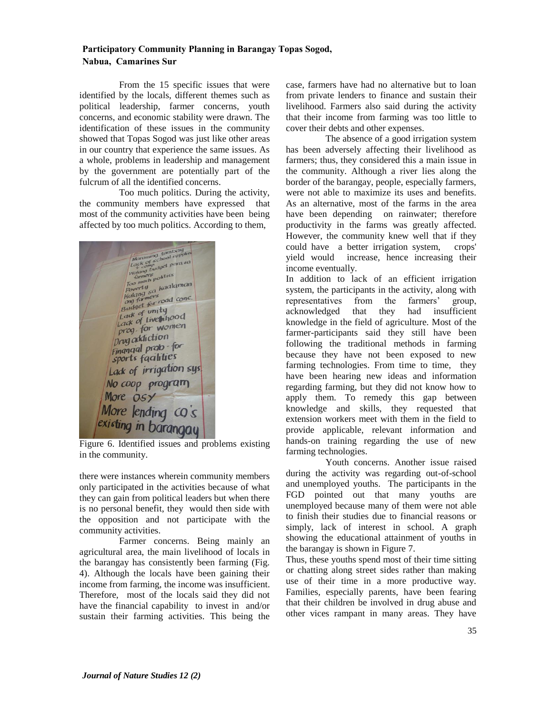From the 15 specific issues that were identified by the locals, different themes such as political leadership, farmer concerns, youth concerns, and economic stability were drawn. The identification of these issues in the community showed that Topas Sogod was just like other areas in our country that experience the same issues. As a whole, problems in leadership and management by the government are potentially part of the fulcrum of all the identified concerns.

Too much politics. During the activity, the community members have expressed that most of the community activities have been being affected by too much politics. According to them,

 $\frac{tanh(1)}{tanh(2)}$ Manamind temployment<br>
Lock of cchool supplement<br>
Walang budget parts so<br>
Walang budget parts<br>
Tower(1)<br>
Roomer(1)<br>
Rayer(1)<br>
Rayer(1) Warmers politics<br>
Too math<br>
Poverty<br>
(dang sa kaalaman<br>
(daget for road cone)<br>
Budget for road cone)<br>
Budget for road cone) Budget formity Lack of unity<br>Lack of Live inood *Lack of Live momen* prograddiction Financial prob for sports faalities Lack of irrigation sys No coop program More OSY More lending co's existing in barangay

Figure 6. Identified issues and problems existing in the community.

there were instances wherein community members only participated in the activities because of what they can gain from political leaders but when there is no personal benefit, they would then side with the opposition and not participate with the community activities.

Farmer concerns. Being mainly an agricultural area, the main livelihood of locals in the barangay has consistently been farming (Fig. 4). Although the locals have been gaining their income from farming, the income was insufficient. Therefore, most of the locals said they did not have the financial capability to invest in and/or sustain their farming activities. This being the case, farmers have had no alternative but to loan from private lenders to finance and sustain their livelihood. Farmers also said during the activity that their income from farming was too little to cover their debts and other expenses.

The absence of a good irrigation system has been adversely affecting their livelihood as farmers; thus, they considered this a main issue in the community. Although a river lies along the border of the barangay, people, especially farmers, were not able to maximize its uses and benefits. As an alternative, most of the farms in the area have been depending on rainwater; therefore productivity in the farms was greatly affected. However, the community knew well that if they could have a better irrigation system, crops' yield would increase, hence increasing their income eventually.

In addition to lack of an efficient irrigation system, the participants in the activity, along with representatives from the farmers' group, acknowledged that they had insufficient knowledge in the field of agriculture. Most of the farmer-participants said they still have been following the traditional methods in farming because they have not been exposed to new farming technologies. From time to time, they have been hearing new ideas and information regarding farming, but they did not know how to apply them. To remedy this gap between knowledge and skills, they requested that extension workers meet with them in the field to provide applicable, relevant information and hands-on training regarding the use of new farming technologies.

Youth concerns. Another issue raised during the activity was regarding out-of-school and unemployed youths. The participants in the FGD pointed out that many youths are unemployed because many of them were not able to finish their studies due to financial reasons or simply, lack of interest in school. A graph showing the educational attainment of youths in the barangay is shown in Figure 7.

Thus, these youths spend most of their time sitting or chatting along street sides rather than making use of their time in a more productive way. Families, especially parents, have been fearing that their children be involved in drug abuse and other vices rampant in many areas. They have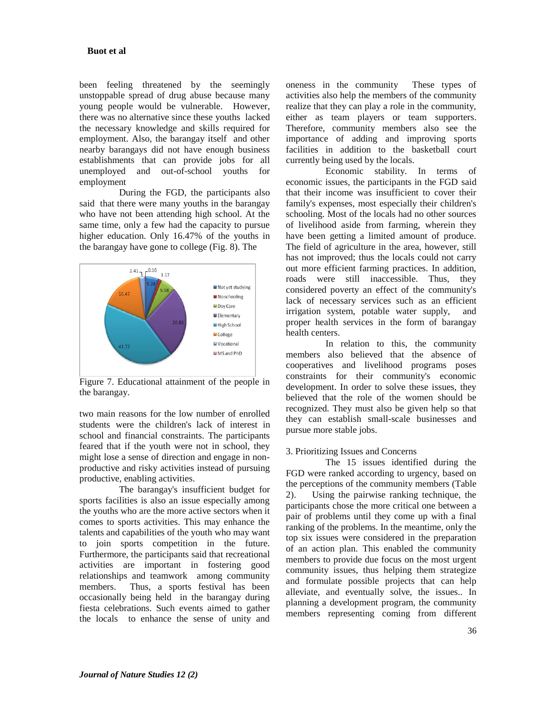been feeling threatened by the seemingly unstoppable spread of drug abuse because many young people would be vulnerable. However, there was no alternative since these youths lacked the necessary knowledge and skills required for employment. Also, the barangay itself and other nearby barangays did not have enough business establishments that can provide jobs for all unemployed and out-of-school youths for employment

During the FGD, the participants also said that there were many youths in the barangay who have not been attending high school. At the same time, only a few had the capacity to pursue higher education. Only 16.47% of the youths in the barangay have gone to college (Fig. 8). The



Figure 7. Educational attainment of the people in the barangay.

two main reasons for the low number of enrolled students were the children's lack of interest in school and financial constraints. The participants feared that if the youth were not in school, they might lose a sense of direction and engage in nonproductive and risky activities instead of pursuing productive, enabling activities.

The barangay's insufficient budget for sports facilities is also an issue especially among the youths who are the more active sectors when it comes to sports activities. This may enhance the talents and capabilities of the youth who may want to join sports competition in the future. Furthermore, the participants said that recreational activities are important in fostering good relationships and teamwork among community members. Thus, a sports festival has been occasionally being held in the barangay during fiesta celebrations. Such events aimed to gather the locals to enhance the sense of unity and oneness in the community These types of activities also help the members of the community realize that they can play a role in the community, either as team players or team supporters. Therefore, community members also see the importance of adding and improving sports facilities in addition to the basketball court currently being used by the locals.

Economic stability. In terms of economic issues, the participants in the FGD said that their income was insufficient to cover their family's expenses, most especially their children's schooling. Most of the locals had no other sources of livelihood aside from farming, wherein they have been getting a limited amount of produce. The field of agriculture in the area, however, still has not improved; thus the locals could not carry out more efficient farming practices. In addition, roads were still inaccessible. Thus, they considered poverty an effect of the community's lack of necessary services such as an efficient irrigation system, potable water supply, and proper health services in the form of barangay health centers.

In relation to this, the community members also believed that the absence of cooperatives and livelihood programs poses constraints for their community's economic development. In order to solve these issues, they believed that the role of the women should be recognized. They must also be given help so that they can establish small-scale businesses and pursue more stable jobs.

### 3. Prioritizing Issues and Concerns

The 15 issues identified during the FGD were ranked according to urgency, based on the perceptions of the community members (Table 2). Using the pairwise ranking technique, the participants chose the more critical one between a pair of problems until they come up with a final ranking of the problems. In the meantime, only the top six issues were considered in the preparation of an action plan. This enabled the community members to provide due focus on the most urgent community issues, thus helping them strategize and formulate possible projects that can help alleviate, and eventually solve, the issues.. In planning a development program, the community members representing coming from different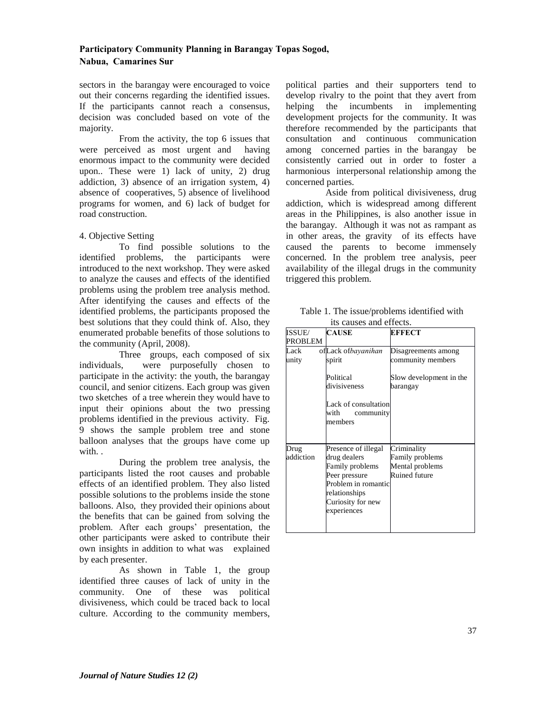sectors in the barangay were encouraged to voice out their concerns regarding the identified issues. If the participants cannot reach a consensus, decision was concluded based on vote of the majority.

From the activity, the top 6 issues that were perceived as most urgent and having enormous impact to the community were decided upon.. These were 1) lack of unity, 2) drug addiction, 3) absence of an irrigation system, 4) absence of cooperatives, 5) absence of livelihood programs for women, and 6) lack of budget for road construction.

#### 4. Objective Setting

To find possible solutions to the identified problems, the participants were introduced to the next workshop. They were asked to analyze the causes and effects of the identified problems using the problem tree analysis method. After identifying the causes and effects of the identified problems, the participants proposed the best solutions that they could think of. Also, they enumerated probable benefits of those solutions to the community (April, 2008).

Three groups, each composed of six individuals, were purposefully chosen to participate in the activity: the youth, the barangay council, and senior citizens. Each group was given two sketches of a tree wherein they would have to input their opinions about the two pressing problems identified in the previous activity. Fig. 9 shows the sample problem tree and stone balloon analyses that the groups have come up with. .

During the problem tree analysis, the participants listed the root causes and probable effects of an identified problem. They also listed possible solutions to the problems inside the stone balloons. Also, they provided their opinions about the benefits that can be gained from solving the problem. After each groups' presentation, the other participants were asked to contribute their own insights in addition to what was explained by each presenter.

As shown in Table 1, the group identified three causes of lack of unity in the community. One of these was political divisiveness, which could be traced back to local culture. According to the community members, political parties and their supporters tend to develop rivalry to the point that they avert from helping the incumbents in implementing development projects for the community. It was therefore recommended by the participants that consultation and continuous communication among concerned parties in the barangay be consistently carried out in order to foster a harmonious interpersonal relationship among the concerned parties.

Aside from political divisiveness, drug addiction, which is widespread among different areas in the Philippines, is also another issue in the barangay. Although it was not as rampant as in other areas, the gravity of its effects have caused the parents to become immensely concerned. In the problem tree analysis, peer availability of the illegal drugs in the community triggered this problem.

| Table 1. The issue/problems identified with |  |  |
|---------------------------------------------|--|--|
| its causes and effects.                     |  |  |

| ISSUE/         | <b>CAUSE</b>         | <b>EFFECT</b>           |
|----------------|----------------------|-------------------------|
| <b>PROBLEM</b> |                      |                         |
| Lack           | ofLack ofbayanihan   | Disagreements among     |
| unity          | spirit               | community members       |
|                | Political            | Slow development in the |
|                | divisiveness         | barangay                |
|                | Lack of consultation |                         |
|                | with<br>community    |                         |
|                | members              |                         |
|                |                      |                         |
| Drug           | Presence of illegal  | Criminality             |
| addiction      | drug dealers         | Family problems         |
|                | Family problems      | Mental problems         |
|                | Peer pressure        | <b>Ruined future</b>    |
|                | Problem in romantic  |                         |
|                | relationships        |                         |
|                | Curiosity for new    |                         |
|                | experiences          |                         |
|                |                      |                         |
|                |                      |                         |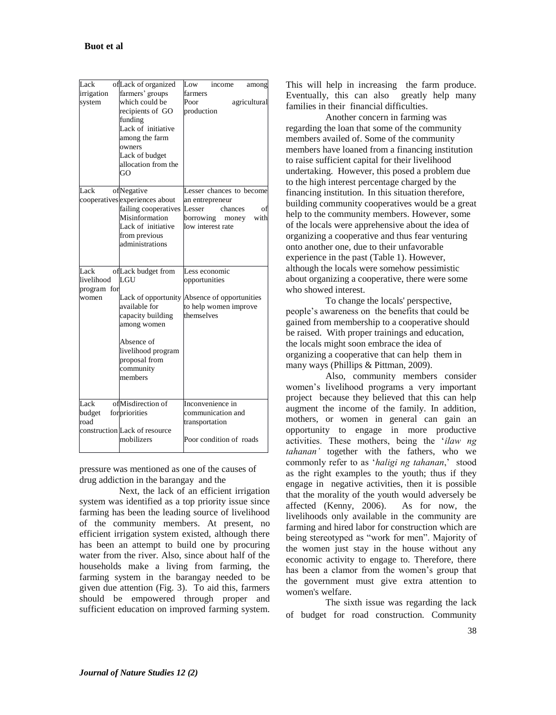| Lack<br>irrigation<br>system               | ofLack of organized<br>farmers' groups<br>which could be<br>recipients of GO<br>funding<br>Lack of initiative<br>among the farm<br>owners<br>Lack of budget<br>allocation from the<br>GO | Low<br>income<br>among<br>farmers<br>Poor<br>agricultural<br>production                                                   |
|--------------------------------------------|------------------------------------------------------------------------------------------------------------------------------------------------------------------------------------------|---------------------------------------------------------------------------------------------------------------------------|
| Lack                                       | ofNegative<br>cooperatives experiences about<br>failing cooperatives<br>Misinformation<br>Lack of initiative<br>from previous<br>administrations                                         | Lesser chances to become<br>an entrepreneur<br>Lesser<br>chances<br>οf<br>borrowing<br>with<br>money<br>low interest rate |
| Lack<br>livelihood<br>program for<br>women | ofLack budget from<br>LGU<br>available for<br>capacity building<br>among women<br>Absence of<br>livelihood program<br>proposal from<br>community<br>members                              | Less economic<br>opportunities<br>Lack of opportunity Absence of opportunities<br>to help women improve<br>themselves     |
| Lack<br>budget<br>road                     | ofMisdirection of<br>forpriorities<br>construction Lack of resource<br>mobilizers                                                                                                        | Inconvenience in<br>communication and<br>transportation<br>Poor condition of roads                                        |

pressure was mentioned as one of the causes of drug addiction in the barangay and the

Next, the lack of an efficient irrigation system was identified as a top priority issue since farming has been the leading source of livelihood of the community members. At present, no efficient irrigation system existed, although there has been an attempt to build one by procuring water from the river. Also, since about half of the households make a living from farming, the farming system in the barangay needed to be given due attention (Fig. 3). To aid this, farmers should be empowered through proper and sufficient education on improved farming system. This will help in increasing the farm produce. Eventually, this can also greatly help many families in their financial difficulties.

Another concern in farming was regarding the loan that some of the community members availed of. Some of the community members have loaned from a financing institution to raise sufficient capital for their livelihood undertaking. However, this posed a problem due to the high interest percentage charged by the financing institution. In this situation therefore, building community cooperatives would be a great help to the community members. However, some of the locals were apprehensive about the idea of organizing a cooperative and thus fear venturing onto another one, due to their unfavorable experience in the past (Table 1). However, although the locals were somehow pessimistic about organizing a cooperative, there were some who showed interest.

To change the locals' perspective, people's awareness on the benefits that could be gained from membership to a cooperative should be raised. With proper trainings and education, the locals might soon embrace the idea of organizing a cooperative that can help them in many ways (Phillips & Pittman, 2009).

Also, community members consider women's livelihood programs a very important project because they believed that this can help augment the income of the family. In addition, mothers, or women in general can gain an opportunity to engage in more productive activities. These mothers, being the '*ilaw ng tahanan'* together with the fathers, who we commonly refer to as '*haligi ng tahanan*,' stood as the right examples to the youth; thus if they engage in negative activities, then it is possible that the morality of the youth would adversely be affected (Kenny, 2006). As for now, the livelihoods only available in the community are farming and hired labor for construction which are being stereotyped as "work for men". Majority of the women just stay in the house without any economic activity to engage to. Therefore, there has been a clamor from the women's group that the government must give extra attention to women's welfare.

The sixth issue was regarding the lack of budget for road construction. Community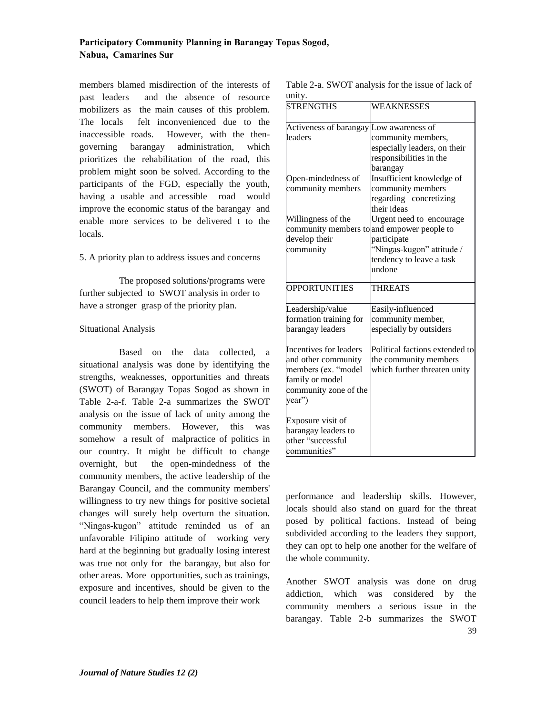members blamed misdirection of the interests of past leaders and the absence of resource mobilizers as the main causes of this problem. The locals felt inconvenienced due to the inaccessible roads. However, with the thengoverning barangay administration, which prioritizes the rehabilitation of the road, this problem might soon be solved. According to the participants of the FGD, especially the youth, having a usable and accessible road would improve the economic status of the barangay and enable more services to be delivered t to the locals.

#### 5. A priority plan to address issues and concerns

The proposed solutions/programs were further subjected to SWOT analysis in order to have a stronger grasp of the priority plan.

#### Situational Analysis

Based on the data collected, a situational analysis was done by identifying the strengths, weaknesses, opportunities and threats (SWOT) of Barangay Topas Sogod as shown in Table 2-a-f. Table 2-a summarizes the SWOT analysis on the issue of lack of unity among the community members. However, this was somehow a result of malpractice of politics in our country. It might be difficult to change overnight, but the open-mindedness of the community members, the active leadership of the Barangay Council, and the community members' willingness to try new things for positive societal changes will surely help overturn the situation. "Ningas-kugon" attitude reminded us of an unfavorable Filipino attitude of working very hard at the beginning but gradually losing interest was true not only for the barangay, but also for other areas. More opportunities, such as trainings, exposure and incentives, should be given to the council leaders to help them improve their work

| Table 2-a. SWOT analysis for the issue of lack of |  |  |  |
|---------------------------------------------------|--|--|--|
| unity.                                            |  |  |  |

| <b>STRENGTHS</b>                        | <b>WEAKNESSES</b>                          |
|-----------------------------------------|--------------------------------------------|
| Activeness of barangay Low awareness of |                                            |
| leaders                                 | community members,                         |
|                                         | especially leaders, on their               |
|                                         | responsibilities in the                    |
|                                         | barangay                                   |
| Open-mindedness of                      | Insufficient knowledge of                  |
| community members                       | community members                          |
|                                         | regarding concretizing                     |
|                                         | their ideas                                |
| Willingness of the                      | Urgent need to encourage                   |
|                                         | community members to and empower people to |
| develop their                           | participate                                |
| community                               | "Ningas-kugon" attitude /                  |
|                                         | tendency to leave a task                   |
|                                         | undone                                     |
| <b>OPPORTUNITIES</b>                    | <b>THREATS</b>                             |
| Leadership/value                        | Easily-influenced                          |
| formation training for                  | community member,                          |
| barangay leaders                        | especially by outsiders                    |
| Incentives for leaders                  | Political factions extended to             |
| and other community                     | the community members                      |
| members (ex. "model                     | which further threaten unity               |
| family or model                         |                                            |
| community zone of the                   |                                            |
| year")                                  |                                            |
| Exposure visit of                       |                                            |
| barangay leaders to                     |                                            |
| other "successful                       |                                            |
| communities"                            |                                            |

performance and leadership skills. However, locals should also stand on guard for the threat posed by political factions. Instead of being subdivided according to the leaders they support, they can opt to help one another for the welfare of the whole community.

39 Another SWOT analysis was done on drug addiction, which was considered by the community members a serious issue in the barangay. Table 2-b summarizes the SWOT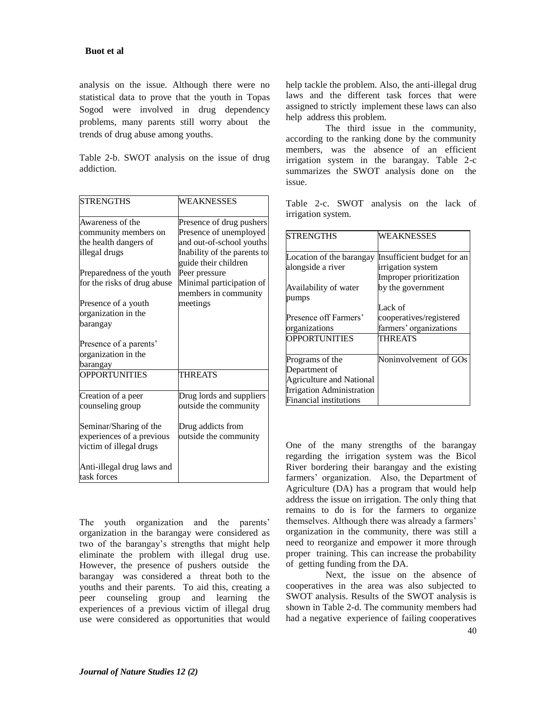analysis on the issue. Although there were no statistical data to prove that the youth in Topas Sogod were involved in drug dependency problems, many parents still worry about the trends of drug abuse among youths.

Table 2-b. SWOT analysis on the issue of drug addiction.

| <b>STRENGTHS</b>            | <b>WEAKNESSES</b>           |
|-----------------------------|-----------------------------|
| Awareness of the            | Presence of drug pushers    |
| community members on        | Presence of unemployed      |
| the health dangers of       | and out-of-school youths    |
| illegal drugs               | Inability of the parents to |
|                             | guide their children        |
| Preparedness of the youth   | Peer pressure               |
| for the risks of drug abuse | Minimal participation of    |
|                             | members in community        |
| Presence of a youth         | meetings                    |
| organization in the         |                             |
| barangay                    |                             |
| Presence of a parents'      |                             |
| organization in the         |                             |
| barangay                    |                             |
| <b>OPPORTUNITIES</b>        | <b>THREATS</b>              |
| Creation of a peer          | Drug lords and suppliers    |
| counseling group            | outside the community       |
| Seminar/Sharing of the      | Drug addicts from           |
| experiences of a previous   | outside the community       |
| victim of illegal drugs     |                             |
| Anti-illegal drug laws and  |                             |
| task forces                 |                             |

The youth organization and the parents' organization in the barangay were considered as two of the barangay's strengths that might help eliminate the problem with illegal drug use. However, the presence of pushers outside the barangay was considered a threat both to the youths and their parents. To aid this, creating a peer counseling group and learning the experiences of a previous victim of illegal drug use were considered as opportunities that would help tackle the problem. Also, the anti-illegal drug laws and the different task forces that were assigned to strictly implement these laws can also help address this problem.

The third issue in the community, according to the ranking done by the community members, was the absence of an efficient irrigation system in the barangay. Table 2-c summarizes the SWOT analysis done on the issue.

Table 2-c. SWOT analysis on the lack of irrigation system.

| <b>STRENGTHS</b>                | <b>WEAKNESSES</b>          |
|---------------------------------|----------------------------|
| Location of the barangay        | Insufficient budget for an |
| alongside a river               | irrigation system          |
|                                 | Improper prioritization    |
| Availability of water           | by the government          |
| pumps                           |                            |
|                                 | Lack of                    |
| Presence off Farmers'           | cooperatives/registered    |
| organizations                   | farmers' organizations     |
| <b>OPPORTUNITIES</b>            | THREATS                    |
|                                 |                            |
| Programs of the                 | Noninvolvement of GOs      |
| Department of                   |                            |
| <b>Agriculture and National</b> |                            |
| Irrigation Administration       |                            |
| <b>Financial institutions</b>   |                            |

One of the many strengths of the barangay regarding the irrigation system was the Bicol River bordering their barangay and the existing farmers' organization. Also, the Department of Agriculture (DA) has a program that would help address the issue on irrigation. The only thing that remains to do is for the farmers to organize themselves. Although there was already a farmers' organization in the community, there was still a need to reorganize and empower it more through proper training. This can increase the probability of getting funding from the DA.

Next, the issue on the absence of cooperatives in the area was also subjected to SWOT analysis. Results of the SWOT analysis is shown in Table 2-d. The community members had had a negative experience of failing cooperatives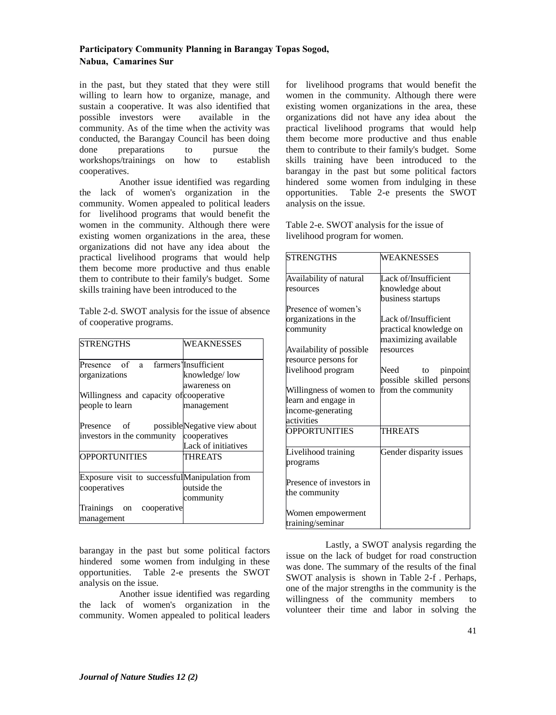in the past, but they stated that they were still willing to learn how to organize, manage, and sustain a cooperative. It was also identified that possible investors were available in the community. As of the time when the activity was conducted, the Barangay Council has been doing done preparations to pursue the workshops/trainings on how to establish cooperatives.

Another issue identified was regarding the lack of women's organization in the community. Women appealed to political leaders for livelihood programs that would benefit the women in the community. Although there were existing women organizations in the area, these organizations did not have any idea about the practical livelihood programs that would help them become more productive and thus enable them to contribute to their family's budget. Some skills training have been introduced to the

Table 2-d. SWOT analysis for the issue of absence of cooperative programs.

| <b>STRENGTHS</b>                                                                                | WEAKNESSES                                                         |
|-------------------------------------------------------------------------------------------------|--------------------------------------------------------------------|
| Presence of a farmers' Insufficient<br>organizations<br>Willingness and capacity of cooperative | knowledge/low<br>awareness on                                      |
| people to learn                                                                                 | management                                                         |
| Presence of<br>investors in the community                                                       | possibleNegative view about<br>cooperatives<br>Lack of initiatives |
| <b>OPPORTUNITIES</b>                                                                            | THREATS                                                            |
| Exposure visit to successful Manipulation from<br>cooperatives                                  | outside the<br>community                                           |
| Trainings on<br>cooperative<br>management                                                       |                                                                    |

barangay in the past but some political factors hindered some women from indulging in these opportunities. Table 2-e presents the SWOT analysis on the issue.

Another issue identified was regarding the lack of women's organization in the community. Women appealed to political leaders

for livelihood programs that would benefit the women in the community. Although there were existing women organizations in the area, these organizations did not have any idea about the practical livelihood programs that would help them become more productive and thus enable them to contribute to their family's budget. Some skills training have been introduced to the barangay in the past but some political factors hindered some women from indulging in these opportunities. Table 2-e presents the SWOT analysis on the issue.

Table 2-e. SWOT analysis for the issue of livelihood program for women.

| <b>STRENGTHS</b>         | <b>WEAKNESSES</b>        |
|--------------------------|--------------------------|
| Availability of natural  | Lack of/Insufficient     |
| resources                | knowledge about          |
|                          | business startups        |
| Presence of women's      |                          |
| organizations in the     | Lack of/Insufficient     |
| community                | practical knowledge on   |
|                          | maximizing available     |
| Availability of possible | resources                |
| resource persons for     |                          |
| livelihood program       | Need<br>pinpoint<br>to   |
|                          | possible skilled persons |
| Willingness of women to  | from the community       |
| learn and engage in      |                          |
| income-generating        |                          |
| activities               |                          |
| <b>OPPORTUNITIES</b>     | <b>THREATS</b>           |
| Livelihood training      | Gender disparity issues  |
| programs                 |                          |
| Presence of investors in |                          |
| the community            |                          |
| Women empowerment        |                          |
| training/seminar         |                          |

Lastly, a SWOT analysis regarding the issue on the lack of budget for road construction was done. The summary of the results of the final SWOT analysis is shown in Table 2-f . Perhaps, one of the major strengths in the community is the willingness of the community members to volunteer their time and labor in solving the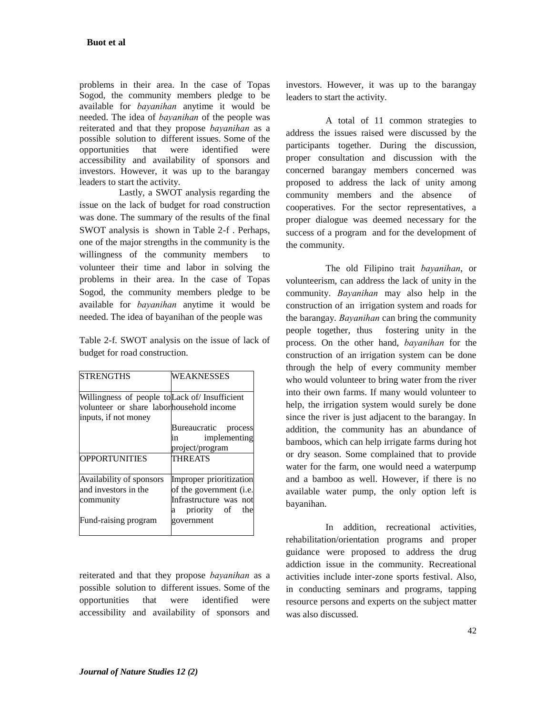problems in their area. In the case of Topas Sogod, the community members pledge to be available for *bayanihan* anytime it would be needed. The idea of *bayanihan* of the people was reiterated and that they propose *bayanihan* as a possible solution to different issues. Some of the opportunities that were identified were accessibility and availability of sponsors and investors. However, it was up to the barangay leaders to start the activity.

Lastly, a SWOT analysis regarding the issue on the lack of budget for road construction was done. The summary of the results of the final SWOT analysis is shown in Table 2-f . Perhaps, one of the major strengths in the community is the willingness of the community members to volunteer their time and labor in solving the problems in their area. In the case of Topas Sogod, the community members pledge to be available for *bayanihan* anytime it would be needed. The idea of bayanihan of the people was

Table 2-f. SWOT analysis on the issue of lack of budget for road construction.

| <b>STRENGTHS</b>                              | <b>WEAKNESSES</b>               |
|-----------------------------------------------|---------------------------------|
| Willingness of people to Lack of Insufficient |                                 |
| volunteer or share laborhousehold income      |                                 |
| inputs, if not money                          |                                 |
|                                               | Bureaucratic process            |
|                                               | implementing<br>in              |
|                                               | project/program                 |
| <b>OPPORTUNITIES</b>                          | <b>THREATS</b>                  |
| Availability of sponsors                      | Improper prioritization         |
| and investors in the                          | of the government ( <i>i.e.</i> |
| community                                     | Infrastructure was not          |
|                                               | priority of the<br>a            |
| Fund-raising program                          | government                      |

reiterated and that they propose *bayanihan* as a possible solution to different issues. Some of the opportunities that were identified were accessibility and availability of sponsors and investors. However, it was up to the barangay leaders to start the activity.

A total of 11 common strategies to address the issues raised were discussed by the participants together. During the discussion, proper consultation and discussion with the concerned barangay members concerned was proposed to address the lack of unity among community members and the absence of cooperatives. For the sector representatives, a proper dialogue was deemed necessary for the success of a program and for the development of the community.

The old Filipino trait *bayanihan*, or volunteerism, can address the lack of unity in the community. *Bayanihan* may also help in the construction of an irrigation system and roads for the barangay. *Bayanihan* can bring the community people together, thus fostering unity in the process. On the other hand, *bayanihan* for the construction of an irrigation system can be done through the help of every community member who would volunteer to bring water from the river into their own farms. If many would volunteer to help, the irrigation system would surely be done since the river is just adjacent to the barangay. In addition, the community has an abundance of bamboos, which can help irrigate farms during hot or dry season. Some complained that to provide water for the farm, one would need a waterpump and a bamboo as well. However, if there is no available water pump, the only option left is bayanihan.

In addition, recreational activities, rehabilitation/orientation programs and proper guidance were proposed to address the drug addiction issue in the community. Recreational activities include inter-zone sports festival. Also, in conducting seminars and programs, tapping resource persons and experts on the subject matter was also discussed.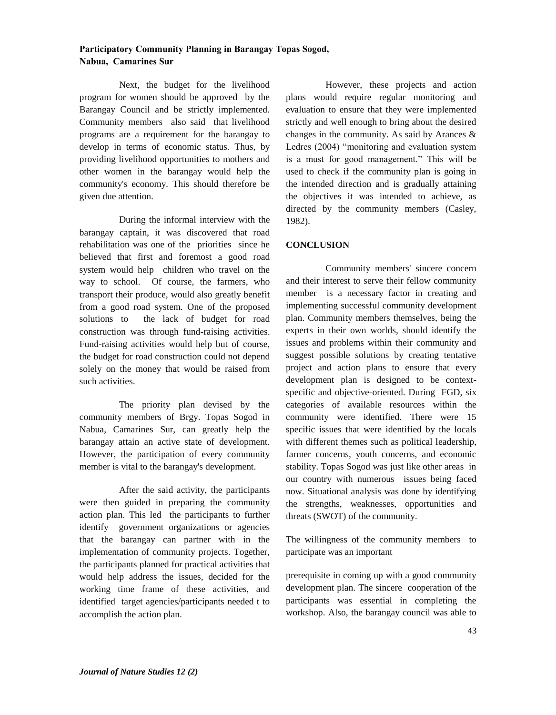Next, the budget for the livelihood program for women should be approved by the Barangay Council and be strictly implemented. Community members also said that livelihood programs are a requirement for the barangay to develop in terms of economic status. Thus, by providing livelihood opportunities to mothers and other women in the barangay would help the community's economy. This should therefore be given due attention.

During the informal interview with the barangay captain, it was discovered that road rehabilitation was one of the priorities since he believed that first and foremost a good road system would help children who travel on the way to school. Of course, the farmers, who transport their produce, would also greatly benefit from a good road system. One of the proposed solutions to the lack of budget for road construction was through fund-raising activities. Fund-raising activities would help but of course, the budget for road construction could not depend solely on the money that would be raised from such activities.

The priority plan devised by the community members of Brgy. Topas Sogod in Nabua, Camarines Sur, can greatly help the barangay attain an active state of development. However, the participation of every community member is vital to the barangay's development.

After the said activity, the participants were then guided in preparing the community action plan. This led the participants to further identify government organizations or agencies that the barangay can partner with in the implementation of community projects. Together, the participants planned for practical activities that would help address the issues, decided for the working time frame of these activities, and identified target agencies/participants needed t to accomplish the action plan.

However, these projects and action plans would require regular monitoring and evaluation to ensure that they were implemented strictly and well enough to bring about the desired changes in the community. As said by Arances & Ledres (2004) "monitoring and evaluation system is a must for good management." This will be used to check if the community plan is going in the intended direction and is gradually attaining the objectives it was intended to achieve, as directed by the community members (Casley, 1982).

### **CONCLUSION**

Community members' sincere concern and their interest to serve their fellow community member is a necessary factor in creating and implementing successful community development plan. Community members themselves, being the experts in their own worlds, should identify the issues and problems within their community and suggest possible solutions by creating tentative project and action plans to ensure that every development plan is designed to be contextspecific and objective-oriented. During FGD, six categories of available resources within the community were identified. There were 15 specific issues that were identified by the locals with different themes such as political leadership, farmer concerns, youth concerns, and economic stability. Topas Sogod was just like other areas in our country with numerous issues being faced now. Situational analysis was done by identifying the strengths, weaknesses, opportunities and threats (SWOT) of the community.

The willingness of the community members to participate was an important

prerequisite in coming up with a good community development plan. The sincere cooperation of the participants was essential in completing the workshop. Also, the barangay council was able to